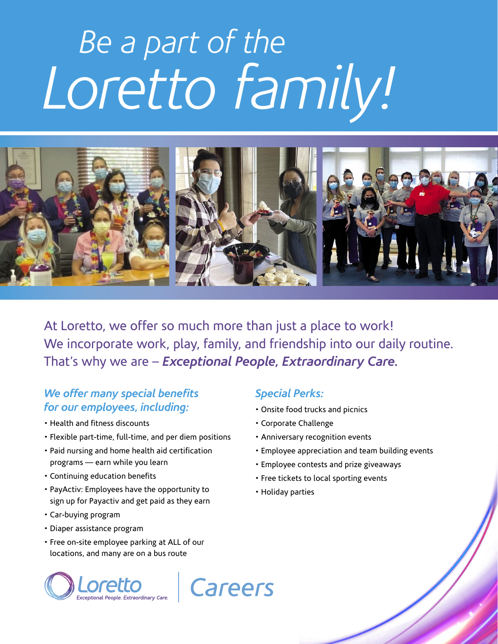# *Be a part of the Loretto family!*



At Loretto, we offer so much more than just a place to work! We incorporate work, play, family, and friendship into our daily routine. That's why we are – *Exceptional People, Extraordinary Care.*

## *We offer many special benefits for our employees, including:*

- Health and fitness discounts
- Flexible part-time, full-time, and per diem positions
- Paid nursing and home health aid certification programs — earn while you learn
- Continuing education benefits
- PayActiv: Employees have the opportunity to sign up for Payactiv and get paid as they earn
- Car-buying program
- Diaper assistance program
- Free on-site employee parking at ALL of our locations, and many are on a bus route



### *Special Perks:*

- Onsite food trucks and picnics
- Corporate Challenge
- Anniversary recognition events
- Employee appreciation and team building events
- Employee contests and prize giveaways
- Free tickets to local sporting events
- Holiday parties